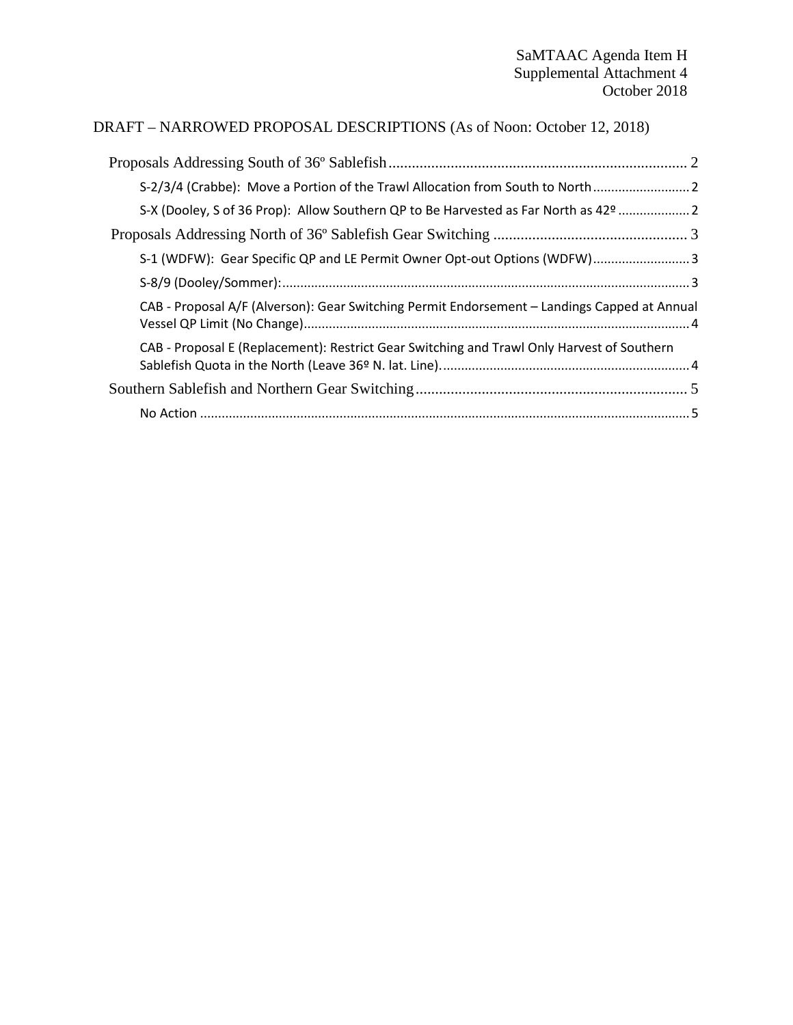#### DRAFT – NARROWED PROPOSAL DESCRIPTIONS (As of Noon: October 12, 2018)

| S-2/3/4 (Crabbe): Move a Portion of the Trawl Allocation from South to North                 |  |
|----------------------------------------------------------------------------------------------|--|
| S-X (Dooley, S of 36 Prop): Allow Southern QP to Be Harvested as Far North as 42º  2         |  |
|                                                                                              |  |
| S-1 (WDFW): Gear Specific QP and LE Permit Owner Opt-out Options (WDFW) 3                    |  |
|                                                                                              |  |
| CAB - Proposal A/F (Alverson): Gear Switching Permit Endorsement - Landings Capped at Annual |  |
| CAB - Proposal E (Replacement): Restrict Gear Switching and Trawl Only Harvest of Southern   |  |
|                                                                                              |  |
|                                                                                              |  |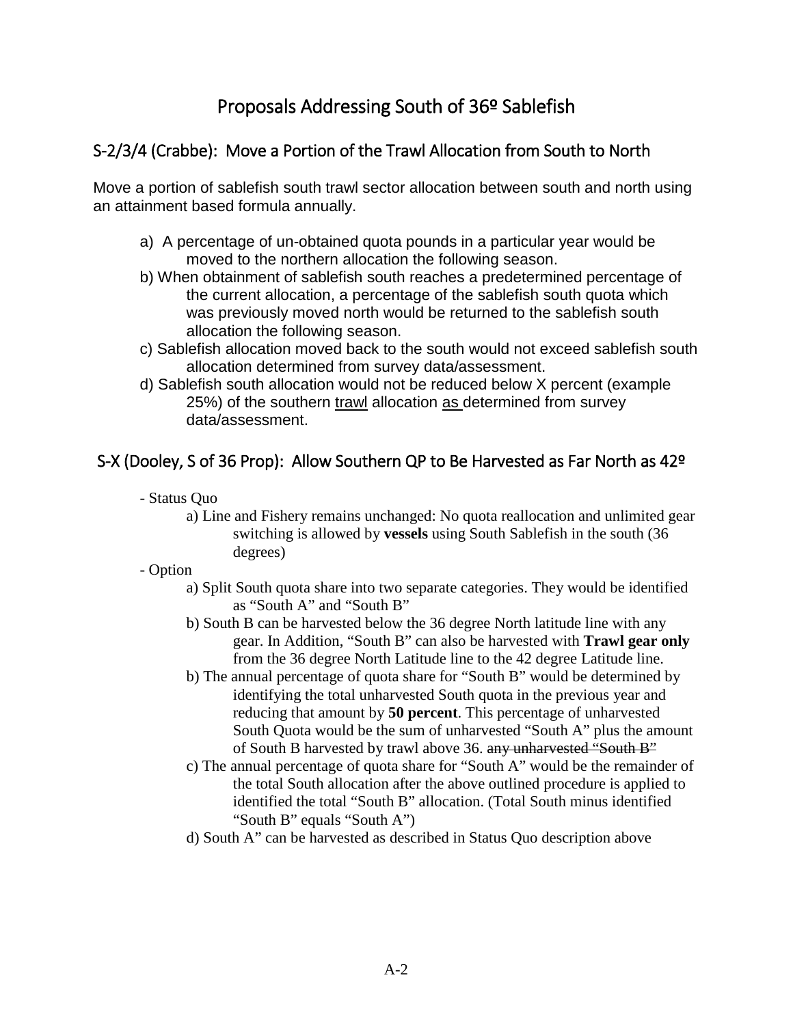## Proposals Addressing South of 36º Sablefish

#### <span id="page-1-1"></span><span id="page-1-0"></span>S-2/3/4 (Crabbe): Move a Portion of the Trawl Allocation from South to North

Move a portion of sablefish south trawl sector allocation between south and north using an attainment based formula annually.

- a) A percentage of un-obtained quota pounds in a particular year would be moved to the northern allocation the following season.
- b) When obtainment of sablefish south reaches a predetermined percentage of the current allocation, a percentage of the sablefish south quota which was previously moved north would be returned to the sablefish south allocation the following season.
- c) Sablefish allocation moved back to the south would not exceed sablefish south allocation determined from survey data/assessment.
- d) Sablefish south allocation would not be reduced below X percent (example 25%) of the southern trawl allocation as determined from survey data/assessment.

#### <span id="page-1-2"></span>S-X (Dooley, S of 36 Prop): Allow Southern QP to Be Harvested as Far North as 42º

- Status Quo
	- a) Line and Fishery remains unchanged: No quota reallocation and unlimited gear switching is allowed by **vessels** using South Sablefish in the south (36 degrees)
- Option
	- a) Split South quota share into two separate categories. They would be identified as "South A" and "South B"
	- b) South B can be harvested below the 36 degree North latitude line with any gear. In Addition, "South B" can also be harvested with **Trawl gear only**  from the 36 degree North Latitude line to the 42 degree Latitude line.
	- b) The annual percentage of quota share for "South B" would be determined by identifying the total unharvested South quota in the previous year and reducing that amount by **50 percent**. This percentage of unharvested South Quota would be the sum of unharvested "South A" plus the amount of South B harvested by trawl above 36. any unharvested "South B"
	- c) The annual percentage of quota share for "South A" would be the remainder of the total South allocation after the above outlined procedure is applied to identified the total "South B" allocation. (Total South minus identified "South B" equals "South A")
	- d) South A" can be harvested as described in Status Quo description above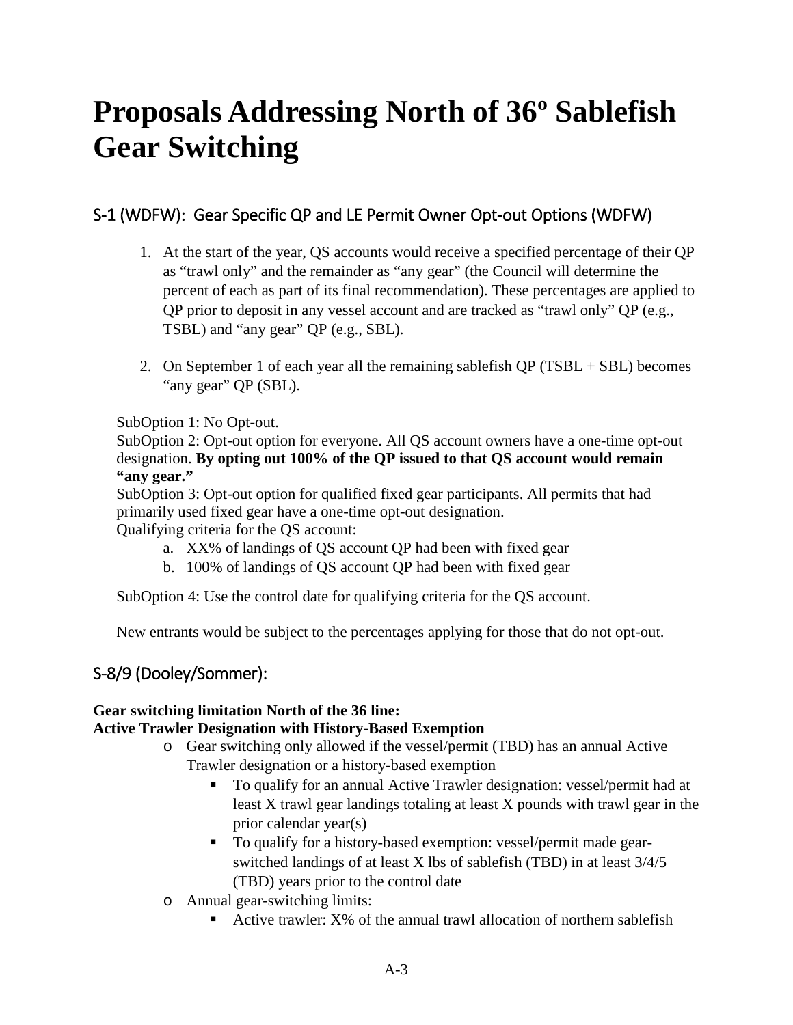# <span id="page-2-0"></span>**Proposals Addressing North of 36º Sablefish Gear Switching**

## <span id="page-2-1"></span>S-1 (WDFW): Gear Specific QP and LE Permit Owner Opt-out Options (WDFW)

- 1. At the start of the year, QS accounts would receive a specified percentage of their QP as "trawl only" and the remainder as "any gear" (the Council will determine the percent of each as part of its final recommendation). These percentages are applied to QP prior to deposit in any vessel account and are tracked as "trawl only" QP (e.g., TSBL) and "any gear" QP (e.g., SBL).
- 2. On September 1 of each year all the remaining sable fish  $QP (TSBL + SBL)$  becomes "any gear" QP (SBL).

#### SubOption 1: No Opt-out.

SubOption 2: Opt-out option for everyone. All QS account owners have a one-time opt-out designation. **By opting out 100% of the QP issued to that QS account would remain "any gear."**

SubOption 3: Opt-out option for qualified fixed gear participants. All permits that had primarily used fixed gear have a one-time opt-out designation. Qualifying criteria for the QS account:

- a. XX% of landings of QS account QP had been with fixed gear
- b. 100% of landings of QS account QP had been with fixed gear

SubOption 4: Use the control date for qualifying criteria for the QS account.

New entrants would be subject to the percentages applying for those that do not opt-out.

#### <span id="page-2-2"></span>S-8/9 (Dooley/Sommer):

#### **Gear switching limitation North of the 36 line: Active Trawler Designation with History-Based Exemption**

- o Gear switching only allowed if the vessel/permit (TBD) has an annual Active Trawler designation or a history-based exemption
	- To qualify for an annual Active Trawler designation: vessel/permit had at least X trawl gear landings totaling at least X pounds with trawl gear in the prior calendar year(s)
	- To qualify for a history-based exemption: vessel/permit made gearswitched landings of at least X lbs of sablefish (TBD) in at least 3/4/5 (TBD) years prior to the control date
- o Annual gear-switching limits:
	- Active trawler: X% of the annual trawl allocation of northern sablefish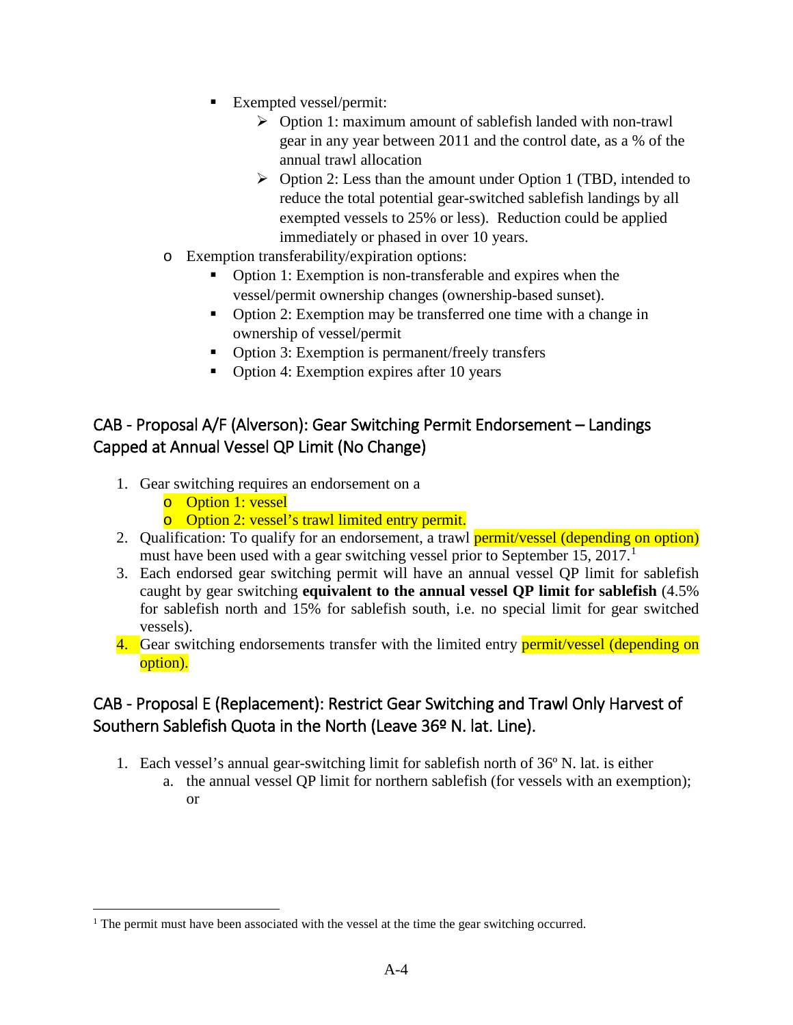- Exempted vessel/permit:
	- Option 1: maximum amount of sablefish landed with non-trawl gear in any year between 2011 and the control date, as a % of the annual trawl allocation
	- $\triangleright$  Option 2: Less than the amount under Option 1 (TBD, intended to reduce the total potential gear-switched sablefish landings by all exempted vessels to 25% or less). Reduction could be applied immediately or phased in over 10 years.
- o Exemption transferability/expiration options:
	- Option 1: Exemption is non-transferable and expires when the vessel/permit ownership changes (ownership-based sunset).
	- Option 2: Exemption may be transferred one time with a change in ownership of vessel/permit
	- Option 3: Exemption is permanent/freely transfers
	- Option 4: Exemption expires after 10 years

#### <span id="page-3-0"></span>CAB - Proposal A/F (Alverson): Gear Switching Permit Endorsement – Landings Capped at Annual Vessel QP Limit (No Change)

- 1. Gear switching requires an endorsement on a
	- o Option 1: vessel
	- o Option 2: vessel's trawl limited entry permit.
- 2. Qualification: To qualify for an endorsement, a trawl **permit/vessel (depending on option)** must have been used with a gear switching vessel prior to September [1](#page-3-2)5, 2017.<sup>1</sup>
- 3. Each endorsed gear switching permit will have an annual vessel QP limit for sablefish caught by gear switching **equivalent to the annual vessel QP limit for sablefish** (4.5% for sablefish north and 15% for sablefish south, i.e. no special limit for gear switched vessels).
- 4. Gear switching endorsements transfer with the limited entry **permit/vessel (depending on** option).

### <span id="page-3-1"></span>CAB - Proposal E (Replacement): Restrict Gear Switching and Trawl Only Harvest of Southern Sablefish Quota in the North (Leave 36º N. lat. Line).

- 1. Each vessel's annual gear-switching limit for sablefish north of 36º N. lat. is either
	- a. the annual vessel QP limit for northern sablefish (for vessels with an exemption); or

<span id="page-3-2"></span><sup>&</sup>lt;sup>1</sup> The permit must have been associated with the vessel at the time the gear switching occurred.